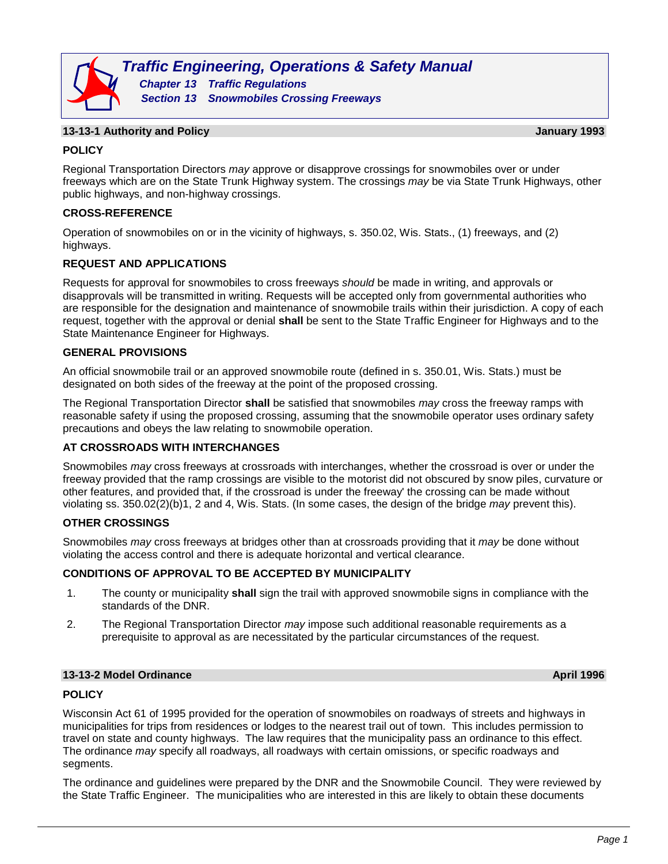

## **13-13-1 Authority and Policy January 1993**

# **POLICY**

Regional Transportation Directors *may* approve or disapprove crossings for snowmobiles over or under freeways which are on the State Trunk Highway system. The crossings *may* be via State Trunk Highways, other public highways, and non-highway crossings.

## **CROSS-REFERENCE**

Operation of snowmobiles on or in the vicinity of highways, s. 350.02, Wis. Stats., (1) freeways, and (2) highways.

## **REQUEST AND APPLICATIONS**

Requests for approval for snowmobiles to cross freeways *should* be made in writing, and approvals or disapprovals will be transmitted in writing. Requests will be accepted only from governmental authorities who are responsible for the designation and maintenance of snowmobile trails within their jurisdiction. A copy of each request, together with the approval or denial **shall** be sent to the State Traffic Engineer for Highways and to the State Maintenance Engineer for Highways.

## **GENERAL PROVISIONS**

An official snowmobile trail or an approved snowmobile route (defined in s. 350.01, Wis. Stats.) must be designated on both sides of the freeway at the point of the proposed crossing.

The Regional Transportation Director **shall** be satisfied that snowmobiles *may* cross the freeway ramps with reasonable safety if using the proposed crossing, assuming that the snowmobile operator uses ordinary safety precautions and obeys the law relating to snowmobile operation.

# **AT CROSSROADS WITH INTERCHANGES**

Snowmobiles *may* cross freeways at crossroads with interchanges, whether the crossroad is over or under the freeway provided that the ramp crossings are visible to the motorist did not obscured by snow piles, curvature or other features, and provided that, if the crossroad is under the freeway' the crossing can be made without violating ss. 350.02(2)(b)1, 2 and 4, Wis. Stats. (In some cases, the design of the bridge *may* prevent this).

## **OTHER CROSSINGS**

Snowmobiles *may* cross freeways at bridges other than at crossroads providing that it *may* be done without violating the access control and there is adequate horizontal and vertical clearance.

## **CONDITIONS OF APPROVAL TO BE ACCEPTED BY MUNICIPALITY**

- 1. The county or municipality **shall** sign the trail with approved snowmobile signs in compliance with the standards of the DNR.
- 2. The Regional Transportation Director *may* impose such additional reasonable requirements as a prerequisite to approval as are necessitated by the particular circumstances of the request.

## **13-13-2 Model Ordinance April 1996**

# **POLICY**

Wisconsin Act 61 of 1995 provided for the operation of snowmobiles on roadways of streets and highways in municipalities for trips from residences or lodges to the nearest trail out of town. This includes permission to travel on state and county highways. The law requires that the municipality pass an ordinance to this effect. The ordinance *may* specify all roadways, all roadways with certain omissions, or specific roadways and segments.

The ordinance and guidelines were prepared by the DNR and the Snowmobile Council. They were reviewed by the State Traffic Engineer. The municipalities who are interested in this are likely to obtain these documents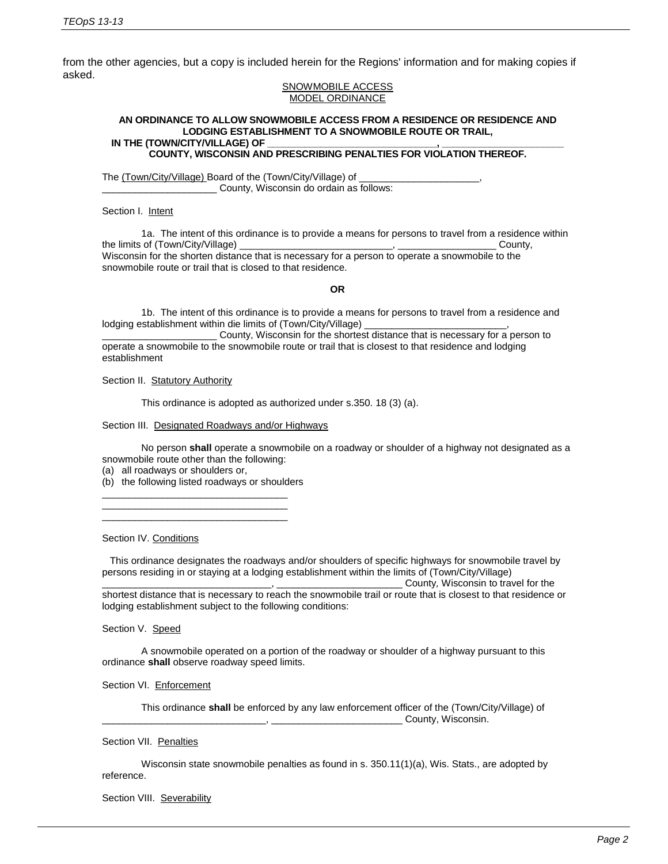from the other agencies, but a copy is included herein for the Regions' information and for making copies if asked.

#### SNOWMOBILE ACCESS MODEL ORDINANCE

#### **AN ORDINANCE TO ALLOW SNOWMOBILE ACCESS FROM A RESIDENCE OR RESIDENCE AND LODGING ESTABLISHMENT TO A SNOWMOBILE ROUTE OR TRAIL,**  IN THE (TOWN/CITY/VILLAGE) OF

**COUNTY, WISCONSIN AND PRESCRIBING PENALTIES FOR VIOLATION THEREOF.**

The (Town/City/Village) Board of the (Town/City/Village) of County, Wisconsin do ordain as follows:

Section I. Intent

1a. The intent of this ordinance is to provide a means for persons to travel from a residence within the limits of (Town/City/Village) example and the set of the county, the county, the county, the county,  $\sim$ Wisconsin for the shorten distance that is necessary for a person to operate a snowmobile to the snowmobile route or trail that is closed to that residence.

**OR**

1b. The intent of this ordinance is to provide a means for persons to travel from a residence and lodging establishment within die limits of (Town/City/Village) \_

\_\_\_\_\_\_\_\_\_\_\_\_\_\_\_\_\_\_\_\_\_ County, Wisconsin for the shortest distance that is necessary for a person to operate a snowmobile to the snowmobile route or trail that is closest to that residence and lodging establishment

Section II. Statutory Authority

This ordinance is adopted as authorized under s.350. 18 (3) (a).

Section III. Designated Roadways and/or Highways

No person **shall** operate a snowmobile on a roadway or shoulder of a highway not designated as a snowmobile route other than the following:

(a) all roadways or shoulders or,

(b) the following listed roadways or shoulders \_\_\_\_\_\_\_\_\_\_\_\_\_\_\_\_\_\_\_\_\_\_\_\_\_\_\_\_\_\_\_\_\_\_

\_\_\_\_\_\_\_\_\_\_\_\_\_\_\_\_\_\_\_\_\_\_\_\_\_\_\_\_\_\_\_\_\_\_ \_\_\_\_\_\_\_\_\_\_\_\_\_\_\_\_\_\_\_\_\_\_\_\_\_\_\_\_\_\_\_\_\_\_

Section IV. Conditions

This ordinance designates the roadways and/or shoulders of specific highways for snowmobile travel by persons residing in or staying at a lodging establishment within the limits of (Town/City/Village)

\_\_\_\_\_\_\_\_\_\_\_\_\_\_\_\_\_\_\_\_\_\_\_\_\_\_\_\_\_\_\_, \_\_\_\_\_\_\_\_\_\_\_\_\_\_\_\_\_\_\_\_\_\_\_ County*,* Wisconsin to travel for the shortest distance that is necessary to reach the snowmobile trail or route that is closest to that residence or lodging establishment subject to the following conditions:

Section V. Speed

A snowmobile operated on a portion of the roadway or shoulder of a highway pursuant to this ordinance **shall** observe roadway speed limits.

Section VI. Enforcement

This ordinance **shall** be enforced by any law enforcement officer of the (Town/City/Village) of \_\_\_\_\_\_\_\_\_\_\_\_\_\_\_\_\_\_\_\_\_\_\_\_\_\_\_\_\_\_, \_\_\_\_\_\_\_\_\_\_\_\_\_\_\_\_\_\_\_\_\_\_\_\_ County, Wisconsin.

Section VII. Penalties

Wisconsin state snowmobile penalties as found in s. 350.11(1)(a), Wis. Stats., are adopted by reference.

Section VIII. Severability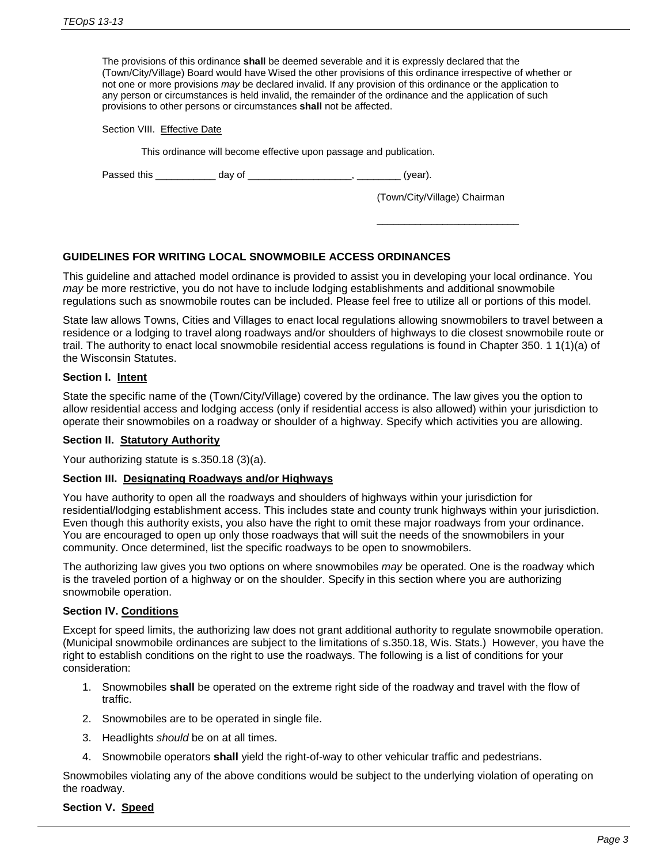The provisions of this ordinance **shall** be deemed severable and it is expressly declared that the (Town/City/Village) Board would have Wised the other provisions of this ordinance irrespective of whether or not one or more provisions *may* be declared invalid. If any provision of this ordinance or the application to any person or circumstances is held invalid, the remainder of the ordinance and the application of such provisions to other persons or circumstances **shall** not be affected.

Section VIII. Effective Date

This ordinance will become effective upon passage and publication.

Passed this \_\_\_\_\_\_\_\_\_\_\_\_\_\_ day of \_\_\_\_\_\_\_\_\_\_\_\_\_\_\_\_\_\_\_\_\_\_, \_\_\_\_\_\_\_\_\_\_ (year).

(Town/City/Village) Chairman

\_\_\_\_\_\_\_\_\_\_\_\_\_\_\_\_\_\_\_\_\_\_\_\_\_\_

# **GUIDELINES FOR WRITING LOCAL SNOWMOBILE ACCESS ORDINANCES**

This guideline and attached model ordinance is provided to assist you in developing your local ordinance. You *may* be more restrictive, you do not have to include lodging establishments and additional snowmobile regulations such as snowmobile routes can be included. Please feel free to utilize all or portions of this model.

State law allows Towns, Cities and Villages to enact local regulations allowing snowmobilers to travel between a residence or a lodging to travel along roadways and/or shoulders of highways to die closest snowmobile route or trail. The authority to enact local snowmobile residential access regulations is found in Chapter 350. 1 1(1)(a) of the Wisconsin Statutes.

## **Section I. Intent**

State the specific name of the (Town/City/Village) covered by the ordinance. The law gives you the option to allow residential access and lodging access (only if residential access is also allowed) within your jurisdiction to operate their snowmobiles on a roadway or shoulder of a highway. Specify which activities you are allowing.

## **Section II. Statutory Authority**

Your authorizing statute is s.350.18 (3)(a).

## **Section III. Designating Roadways and/or Highways**

You have authority to open all the roadways and shoulders of highways within your jurisdiction for residential/lodging establishment access. This includes state and county trunk highways within your jurisdiction. Even though this authority exists, you also have the right to omit these major roadways from your ordinance. You are encouraged to open up only those roadways that will suit the needs of the snowmobilers in your community. Once determined, list the specific roadways to be open to snowmobilers.

The authorizing law gives you two options on where snowmobiles *may* be operated. One is the roadway which is the traveled portion of a highway or on the shoulder. Specify in this section where you are authorizing snowmobile operation.

## **Section IV. Conditions**

Except for speed limits, the authorizing law does not grant additional authority to regulate snowmobile operation. (Municipal snowmobile ordinances are subject to the limitations of s.350.18, Wis. Stats.) However, you have the right to establish conditions on the right to use the roadways. The following is a list of conditions for your consideration:

- 1. Snowmobiles **shall** be operated on the extreme right side of the roadway and travel with the flow of traffic.
- 2. Snowmobiles are to be operated in single file.
- 3. Headlights *should* be on at all times.
- 4. Snowmobile operators **shall** yield the right-of-way to other vehicular traffic and pedestrians.

Snowmobiles violating any of the above conditions would be subject to the underlying violation of operating on the roadway.

## **Section V. Speed**